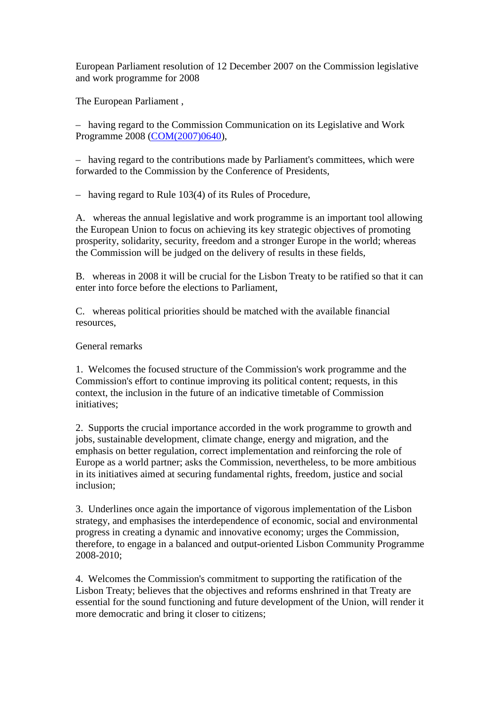European Parliament resolution of 12 December 2007 on the Commission legislative and work programme for 2008

The European Parliament ,

– having regard to the Commission Communication on its Legislative and Work Programme 2008 (COM(2007)0640),

– having regard to the contributions made by Parliament's committees, which were forwarded to the Commission by the Conference of Presidents,

– having regard to Rule 103(4) of its Rules of Procedure,

A. whereas the annual legislative and work programme is an important tool allowing the European Union to focus on achieving its key strategic objectives of promoting prosperity, solidarity, security, freedom and a stronger Europe in the world; whereas the Commission will be judged on the delivery of results in these fields,

B. whereas in 2008 it will be crucial for the Lisbon Treaty to be ratified so that it can enter into force before the elections to Parliament,

C. whereas political priorities should be matched with the available financial resources,

## General remarks

1. Welcomes the focused structure of the Commission's work programme and the Commission's effort to continue improving its political content; requests, in this context, the inclusion in the future of an indicative timetable of Commission initiatives;

2. Supports the crucial importance accorded in the work programme to growth and jobs, sustainable development, climate change, energy and migration, and the emphasis on better regulation, correct implementation and reinforcing the role of Europe as a world partner; asks the Commission, nevertheless, to be more ambitious in its initiatives aimed at securing fundamental rights, freedom, justice and social inclusion;

3. Underlines once again the importance of vigorous implementation of the Lisbon strategy, and emphasises the interdependence of economic, social and environmental progress in creating a dynamic and innovative economy; urges the Commission, therefore, to engage in a balanced and output-oriented Lisbon Community Programme 2008-2010;

4. Welcomes the Commission's commitment to supporting the ratification of the Lisbon Treaty; believes that the objectives and reforms enshrined in that Treaty are essential for the sound functioning and future development of the Union, will render it more democratic and bring it closer to citizens;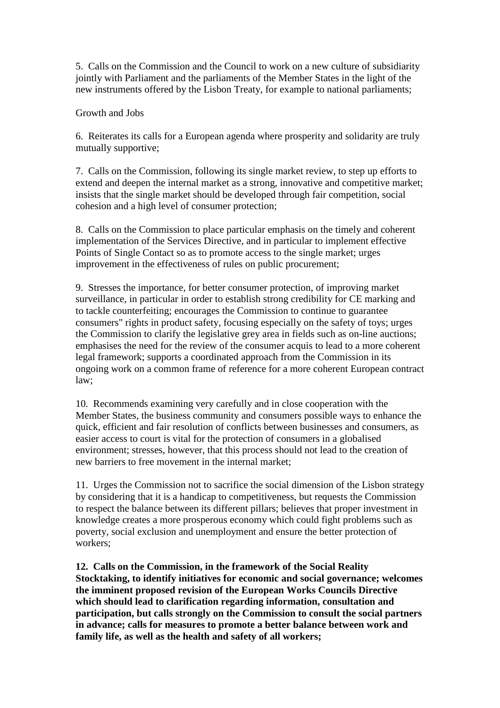5. Calls on the Commission and the Council to work on a new culture of subsidiarity jointly with Parliament and the parliaments of the Member States in the light of the new instruments offered by the Lisbon Treaty, for example to national parliaments;

# Growth and Jobs

6. Reiterates its calls for a European agenda where prosperity and solidarity are truly mutually supportive;

7. Calls on the Commission, following its single market review, to step up efforts to extend and deepen the internal market as a strong, innovative and competitive market; insists that the single market should be developed through fair competition, social cohesion and a high level of consumer protection;

8. Calls on the Commission to place particular emphasis on the timely and coherent implementation of the Services Directive, and in particular to implement effective Points of Single Contact so as to promote access to the single market; urges improvement in the effectiveness of rules on public procurement;

9. Stresses the importance, for better consumer protection, of improving market surveillance, in particular in order to establish strong credibility for CE marking and to tackle counterfeiting; encourages the Commission to continue to guarantee consumers" rights in product safety, focusing especially on the safety of toys; urges the Commission to clarify the legislative grey area in fields such as on-line auctions; emphasises the need for the review of the consumer acquis to lead to a more coherent legal framework; supports a coordinated approach from the Commission in its ongoing work on a common frame of reference for a more coherent European contract law;

10. Recommends examining very carefully and in close cooperation with the Member States, the business community and consumers possible ways to enhance the quick, efficient and fair resolution of conflicts between businesses and consumers, as easier access to court is vital for the protection of consumers in a globalised environment; stresses, however, that this process should not lead to the creation of new barriers to free movement in the internal market;

11. Urges the Commission not to sacrifice the social dimension of the Lisbon strategy by considering that it is a handicap to competitiveness, but requests the Commission to respect the balance between its different pillars; believes that proper investment in knowledge creates a more prosperous economy which could fight problems such as poverty, social exclusion and unemployment and ensure the better protection of workers;

**12. Calls on the Commission, in the framework of the Social Reality Stocktaking, to identify initiatives for economic and social governance; welcomes the imminent proposed revision of the European Works Councils Directive which should lead to clarification regarding information, consultation and participation, but calls strongly on the Commission to consult the social partners in advance; calls for measures to promote a better balance between work and family life, as well as the health and safety of all workers;**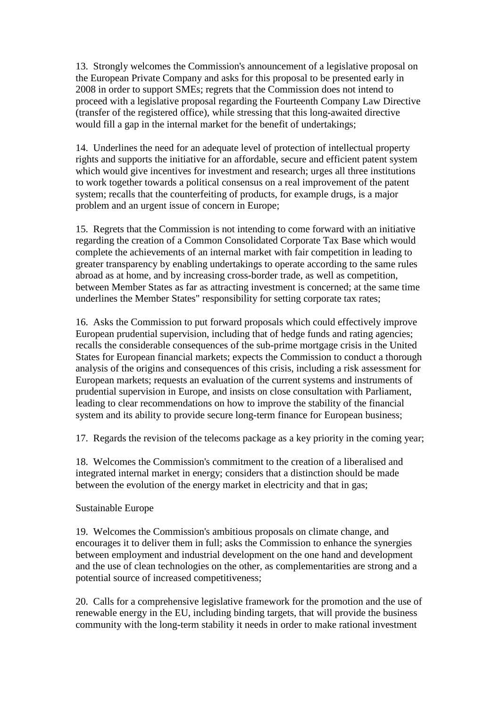13. Strongly welcomes the Commission's announcement of a legislative proposal on the European Private Company and asks for this proposal to be presented early in 2008 in order to support SMEs; regrets that the Commission does not intend to proceed with a legislative proposal regarding the Fourteenth Company Law Directive (transfer of the registered office), while stressing that this long-awaited directive would fill a gap in the internal market for the benefit of undertakings;

14. Underlines the need for an adequate level of protection of intellectual property rights and supports the initiative for an affordable, secure and efficient patent system which would give incentives for investment and research; urges all three institutions to work together towards a political consensus on a real improvement of the patent system; recalls that the counterfeiting of products, for example drugs, is a major problem and an urgent issue of concern in Europe;

15. Regrets that the Commission is not intending to come forward with an initiative regarding the creation of a Common Consolidated Corporate Tax Base which would complete the achievements of an internal market with fair competition in leading to greater transparency by enabling undertakings to operate according to the same rules abroad as at home, and by increasing cross-border trade, as well as competition, between Member States as far as attracting investment is concerned; at the same time underlines the Member States" responsibility for setting corporate tax rates;

16. Asks the Commission to put forward proposals which could effectively improve European prudential supervision, including that of hedge funds and rating agencies; recalls the considerable consequences of the sub-prime mortgage crisis in the United States for European financial markets; expects the Commission to conduct a thorough analysis of the origins and consequences of this crisis, including a risk assessment for European markets; requests an evaluation of the current systems and instruments of prudential supervision in Europe, and insists on close consultation with Parliament, leading to clear recommendations on how to improve the stability of the financial system and its ability to provide secure long-term finance for European business;

17. Regards the revision of the telecoms package as a key priority in the coming year;

18. Welcomes the Commission's commitment to the creation of a liberalised and integrated internal market in energy; considers that a distinction should be made between the evolution of the energy market in electricity and that in gas;

### Sustainable Europe

19. Welcomes the Commission's ambitious proposals on climate change, and encourages it to deliver them in full; asks the Commission to enhance the synergies between employment and industrial development on the one hand and development and the use of clean technologies on the other, as complementarities are strong and a potential source of increased competitiveness;

20. Calls for a comprehensive legislative framework for the promotion and the use of renewable energy in the EU, including binding targets, that will provide the business community with the long-term stability it needs in order to make rational investment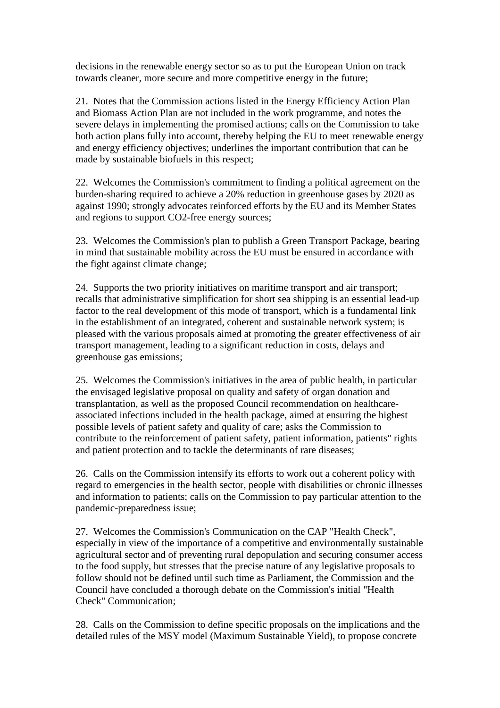decisions in the renewable energy sector so as to put the European Union on track towards cleaner, more secure and more competitive energy in the future;

21. Notes that the Commission actions listed in the Energy Efficiency Action Plan and Biomass Action Plan are not included in the work programme, and notes the severe delays in implementing the promised actions; calls on the Commission to take both action plans fully into account, thereby helping the EU to meet renewable energy and energy efficiency objectives; underlines the important contribution that can be made by sustainable biofuels in this respect;

22. Welcomes the Commission's commitment to finding a political agreement on the burden-sharing required to achieve a 20% reduction in greenhouse gases by 2020 as against 1990; strongly advocates reinforced efforts by the EU and its Member States and regions to support CO2-free energy sources;

23. Welcomes the Commission's plan to publish a Green Transport Package, bearing in mind that sustainable mobility across the EU must be ensured in accordance with the fight against climate change;

24. Supports the two priority initiatives on maritime transport and air transport; recalls that administrative simplification for short sea shipping is an essential lead-up factor to the real development of this mode of transport, which is a fundamental link in the establishment of an integrated, coherent and sustainable network system; is pleased with the various proposals aimed at promoting the greater effectiveness of air transport management, leading to a significant reduction in costs, delays and greenhouse gas emissions;

25. Welcomes the Commission's initiatives in the area of public health, in particular the envisaged legislative proposal on quality and safety of organ donation and transplantation, as well as the proposed Council recommendation on healthcareassociated infections included in the health package, aimed at ensuring the highest possible levels of patient safety and quality of care; asks the Commission to contribute to the reinforcement of patient safety, patient information, patients" rights and patient protection and to tackle the determinants of rare diseases;

26. Calls on the Commission intensify its efforts to work out a coherent policy with regard to emergencies in the health sector, people with disabilities or chronic illnesses and information to patients; calls on the Commission to pay particular attention to the pandemic-preparedness issue;

27. Welcomes the Commission's Communication on the CAP "Health Check", especially in view of the importance of a competitive and environmentally sustainable agricultural sector and of preventing rural depopulation and securing consumer access to the food supply, but stresses that the precise nature of any legislative proposals to follow should not be defined until such time as Parliament, the Commission and the Council have concluded a thorough debate on the Commission's initial "Health Check" Communication;

28. Calls on the Commission to define specific proposals on the implications and the detailed rules of the MSY model (Maximum Sustainable Yield), to propose concrete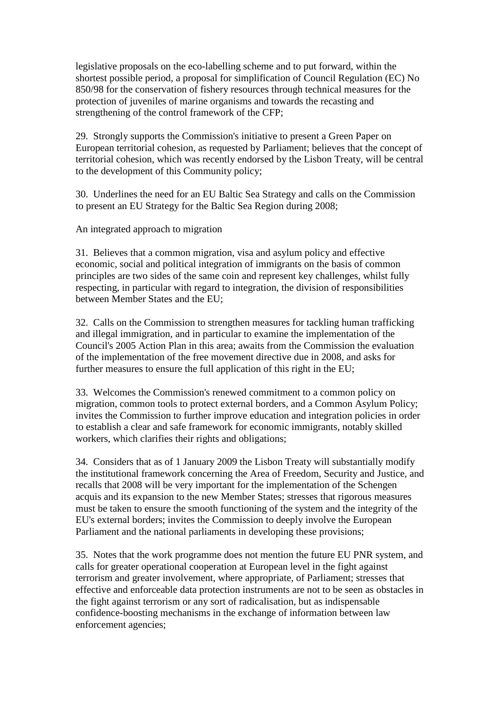legislative proposals on the eco-labelling scheme and to put forward, within the shortest possible period, a proposal for simplification of Council Regulation (EC) No 850/98 for the conservation of fishery resources through technical measures for the protection of juveniles of marine organisms and towards the recasting and strengthening of the control framework of the CFP;

29. Strongly supports the Commission's initiative to present a Green Paper on European territorial cohesion, as requested by Parliament; believes that the concept of territorial cohesion, which was recently endorsed by the Lisbon Treaty, will be central to the development of this Community policy;

30. Underlines the need for an EU Baltic Sea Strategy and calls on the Commission to present an EU Strategy for the Baltic Sea Region during 2008;

An integrated approach to migration

31. Believes that a common migration, visa and asylum policy and effective economic, social and political integration of immigrants on the basis of common principles are two sides of the same coin and represent key challenges, whilst fully respecting, in particular with regard to integration, the division of responsibilities between Member States and the EU;

32. Calls on the Commission to strengthen measures for tackling human trafficking and illegal immigration, and in particular to examine the implementation of the Council's 2005 Action Plan in this area; awaits from the Commission the evaluation of the implementation of the free movement directive due in 2008, and asks for further measures to ensure the full application of this right in the EU;

33. Welcomes the Commission's renewed commitment to a common policy on migration, common tools to protect external borders, and a Common Asylum Policy; invites the Commission to further improve education and integration policies in order to establish a clear and safe framework for economic immigrants, notably skilled workers, which clarifies their rights and obligations;

34. Considers that as of 1 January 2009 the Lisbon Treaty will substantially modify the institutional framework concerning the Area of Freedom, Security and Justice, and recalls that 2008 will be very important for the implementation of the Schengen acquis and its expansion to the new Member States; stresses that rigorous measures must be taken to ensure the smooth functioning of the system and the integrity of the EU's external borders; invites the Commission to deeply involve the European Parliament and the national parliaments in developing these provisions;

35. Notes that the work programme does not mention the future EU PNR system, and calls for greater operational cooperation at European level in the fight against terrorism and greater involvement, where appropriate, of Parliament; stresses that effective and enforceable data protection instruments are not to be seen as obstacles in the fight against terrorism or any sort of radicalisation, but as indispensable confidence-boosting mechanisms in the exchange of information between law enforcement agencies;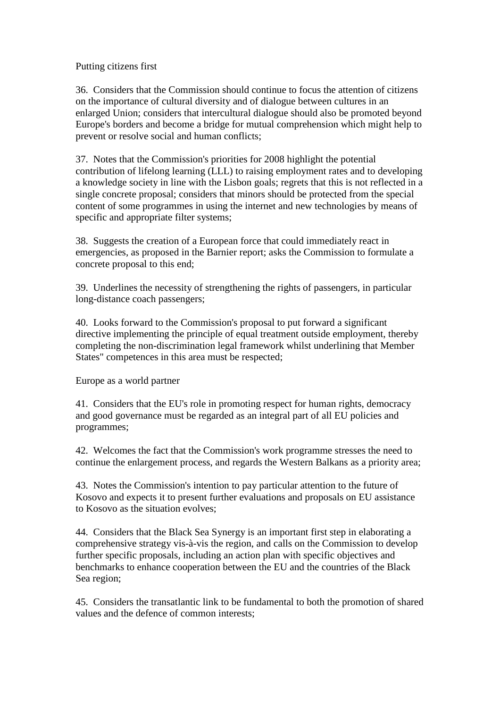Putting citizens first

36. Considers that the Commission should continue to focus the attention of citizens on the importance of cultural diversity and of dialogue between cultures in an enlarged Union; considers that intercultural dialogue should also be promoted beyond Europe's borders and become a bridge for mutual comprehension which might help to prevent or resolve social and human conflicts;

37. Notes that the Commission's priorities for 2008 highlight the potential contribution of lifelong learning (LLL) to raising employment rates and to developing a knowledge society in line with the Lisbon goals; regrets that this is not reflected in a single concrete proposal; considers that minors should be protected from the special content of some programmes in using the internet and new technologies by means of specific and appropriate filter systems;

38. Suggests the creation of a European force that could immediately react in emergencies, as proposed in the Barnier report; asks the Commission to formulate a concrete proposal to this end;

39. Underlines the necessity of strengthening the rights of passengers, in particular long-distance coach passengers;

40. Looks forward to the Commission's proposal to put forward a significant directive implementing the principle of equal treatment outside employment, thereby completing the non-discrimination legal framework whilst underlining that Member States" competences in this area must be respected;

Europe as a world partner

41. Considers that the EU's role in promoting respect for human rights, democracy and good governance must be regarded as an integral part of all EU policies and programmes;

42. Welcomes the fact that the Commission's work programme stresses the need to continue the enlargement process, and regards the Western Balkans as a priority area;

43. Notes the Commission's intention to pay particular attention to the future of Kosovo and expects it to present further evaluations and proposals on EU assistance to Kosovo as the situation evolves;

44. Considers that the Black Sea Synergy is an important first step in elaborating a comprehensive strategy vis-à-vis the region, and calls on the Commission to develop further specific proposals, including an action plan with specific objectives and benchmarks to enhance cooperation between the EU and the countries of the Black Sea region;

45. Considers the transatlantic link to be fundamental to both the promotion of shared values and the defence of common interests;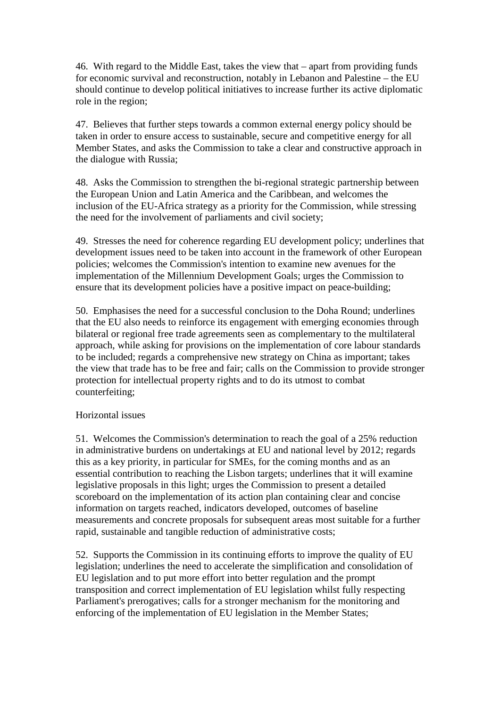46. With regard to the Middle East, takes the view that – apart from providing funds for economic survival and reconstruction, notably in Lebanon and Palestine – the EU should continue to develop political initiatives to increase further its active diplomatic role in the region;

47. Believes that further steps towards a common external energy policy should be taken in order to ensure access to sustainable, secure and competitive energy for all Member States, and asks the Commission to take a clear and constructive approach in the dialogue with Russia;

48. Asks the Commission to strengthen the bi-regional strategic partnership between the European Union and Latin America and the Caribbean, and welcomes the inclusion of the EU-Africa strategy as a priority for the Commission, while stressing the need for the involvement of parliaments and civil society;

49. Stresses the need for coherence regarding EU development policy; underlines that development issues need to be taken into account in the framework of other European policies; welcomes the Commission's intention to examine new avenues for the implementation of the Millennium Development Goals; urges the Commission to ensure that its development policies have a positive impact on peace-building;

50. Emphasises the need for a successful conclusion to the Doha Round; underlines that the EU also needs to reinforce its engagement with emerging economies through bilateral or regional free trade agreements seen as complementary to the multilateral approach, while asking for provisions on the implementation of core labour standards to be included; regards a comprehensive new strategy on China as important; takes the view that trade has to be free and fair; calls on the Commission to provide stronger protection for intellectual property rights and to do its utmost to combat counterfeiting;

### Horizontal issues

51. Welcomes the Commission's determination to reach the goal of a 25% reduction in administrative burdens on undertakings at EU and national level by 2012; regards this as a key priority, in particular for SMEs, for the coming months and as an essential contribution to reaching the Lisbon targets; underlines that it will examine legislative proposals in this light; urges the Commission to present a detailed scoreboard on the implementation of its action plan containing clear and concise information on targets reached, indicators developed, outcomes of baseline measurements and concrete proposals for subsequent areas most suitable for a further rapid, sustainable and tangible reduction of administrative costs;

52. Supports the Commission in its continuing efforts to improve the quality of EU legislation; underlines the need to accelerate the simplification and consolidation of EU legislation and to put more effort into better regulation and the prompt transposition and correct implementation of EU legislation whilst fully respecting Parliament's prerogatives; calls for a stronger mechanism for the monitoring and enforcing of the implementation of EU legislation in the Member States;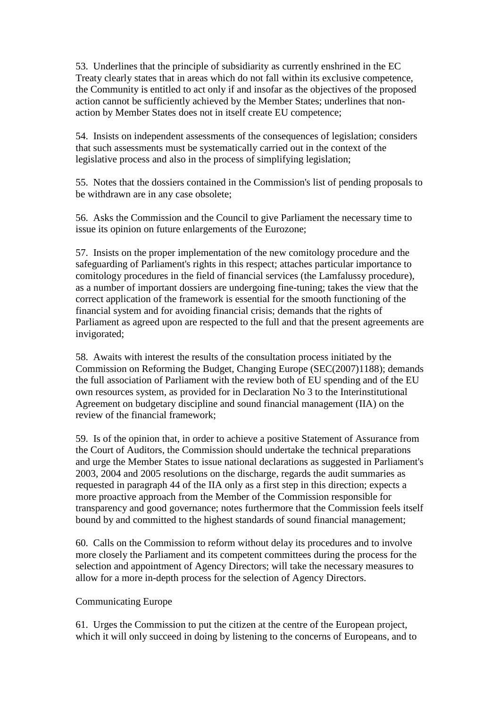53. Underlines that the principle of subsidiarity as currently enshrined in the EC Treaty clearly states that in areas which do not fall within its exclusive competence, the Community is entitled to act only if and insofar as the objectives of the proposed action cannot be sufficiently achieved by the Member States; underlines that nonaction by Member States does not in itself create EU competence;

54. Insists on independent assessments of the consequences of legislation; considers that such assessments must be systematically carried out in the context of the legislative process and also in the process of simplifying legislation;

55. Notes that the dossiers contained in the Commission's list of pending proposals to be withdrawn are in any case obsolete;

56. Asks the Commission and the Council to give Parliament the necessary time to issue its opinion on future enlargements of the Eurozone;

57. Insists on the proper implementation of the new comitology procedure and the safeguarding of Parliament's rights in this respect; attaches particular importance to comitology procedures in the field of financial services (the Lamfalussy procedure), as a number of important dossiers are undergoing fine-tuning; takes the view that the correct application of the framework is essential for the smooth functioning of the financial system and for avoiding financial crisis; demands that the rights of Parliament as agreed upon are respected to the full and that the present agreements are invigorated;

58. Awaits with interest the results of the consultation process initiated by the Commission on Reforming the Budget, Changing Europe (SEC(2007)1188); demands the full association of Parliament with the review both of EU spending and of the EU own resources system, as provided for in Declaration No 3 to the Interinstitutional Agreement on budgetary discipline and sound financial management (IIA) on the review of the financial framework;

59. Is of the opinion that, in order to achieve a positive Statement of Assurance from the Court of Auditors, the Commission should undertake the technical preparations and urge the Member States to issue national declarations as suggested in Parliament's 2003, 2004 and 2005 resolutions on the discharge, regards the audit summaries as requested in paragraph 44 of the IIA only as a first step in this direction; expects a more proactive approach from the Member of the Commission responsible for transparency and good governance; notes furthermore that the Commission feels itself bound by and committed to the highest standards of sound financial management;

60. Calls on the Commission to reform without delay its procedures and to involve more closely the Parliament and its competent committees during the process for the selection and appointment of Agency Directors; will take the necessary measures to allow for a more in-depth process for the selection of Agency Directors.

### Communicating Europe

61. Urges the Commission to put the citizen at the centre of the European project, which it will only succeed in doing by listening to the concerns of Europeans, and to